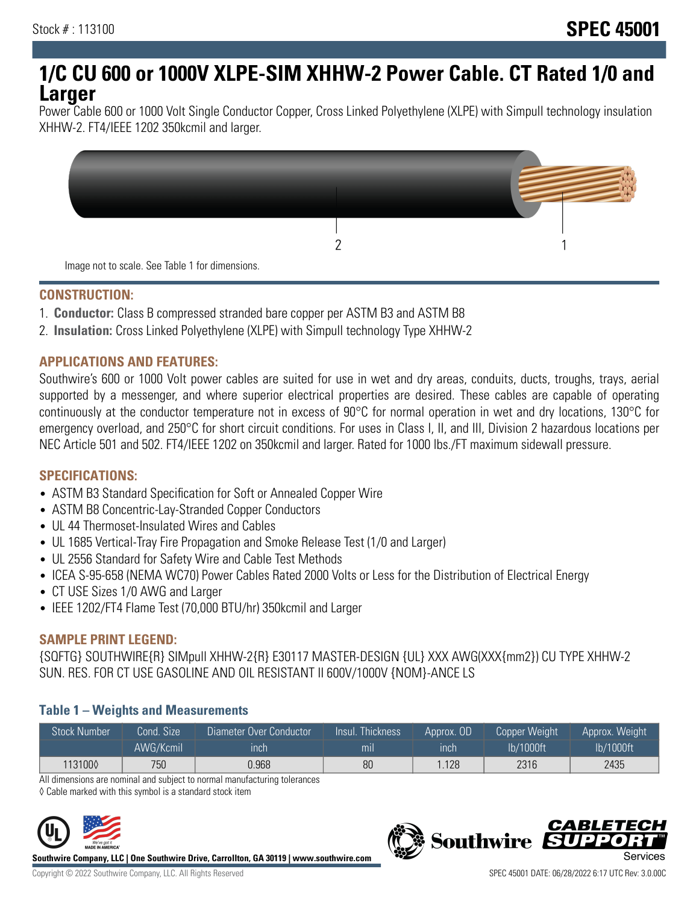# **1/C CU 600 or 1000V XLPE-SIM XHHW-2 Power Cable. CT Rated 1/0 and Larger**

Power Cable 600 or 1000 Volt Single Conductor Copper, Cross Linked Polyethylene (XLPE) with Simpull technology insulation XHHW-2. FT4/IEEE 1202 350kcmil and larger.



### **CONSTRUCTION:**

- 1. **Conductor:** Class B compressed stranded bare copper per ASTM B3 and ASTM B8
- 2. **Insulation:** Cross Linked Polyethylene (XLPE) with Simpull technology Type XHHW-2

## **APPLICATIONS AND FEATURES:**

Southwire's 600 or 1000 Volt power cables are suited for use in wet and dry areas, conduits, ducts, troughs, trays, aerial supported by a messenger, and where superior electrical properties are desired. These cables are capable of operating continuously at the conductor temperature not in excess of 90°C for normal operation in wet and dry locations, 130°C for emergency overload, and 250°C for short circuit conditions. For uses in Class I, II, and III, Division 2 hazardous locations per NEC Article 501 and 502. FT4/IEEE 1202 on 350kcmil and larger. Rated for 1000 lbs./FT maximum sidewall pressure.

### **SPECIFICATIONS:**

- ASTM B3 Standard Specification for Soft or Annealed Copper Wire
- ASTM B8 Concentric-Lay-Stranded Copper Conductors
- UL 44 Thermoset-Insulated Wires and Cables
- UL 1685 Vertical-Tray Fire Propagation and Smoke Release Test (1/0 and Larger)
- UL 2556 Standard for Safety Wire and Cable Test Methods
- ICEA S-95-658 (NEMA WC70) Power Cables Rated 2000 Volts or Less for the Distribution of Electrical Energy
- CT USE Sizes 1/0 AWG and Larger
- IEEE 1202/FT4 Flame Test (70,000 BTU/hr) 350kcmil and Larger

### **SAMPLE PRINT LEGEND:**

{SQFTG} SOUTHWIRE{R} SIMpull XHHW-2{R} E30117 MASTER-DESIGN {UL} XXX AWG(XXX{mm2}) CU TYPE XHHW-2 SUN. RES. FOR CT USE GASOLINE AND OIL RESISTANT II 600V/1000V {NOM}-ANCE LS

### **Table 1 – Weights and Measurements**

| <b>Stock Number</b> | Cond. Size | Diameter Over Conductor | Insul. Thickness | Approx, OD | Copper Weight | Approx. Weight |
|---------------------|------------|-------------------------|------------------|------------|---------------|----------------|
|                     | AWG/Kcmil  | ınch                    | mıl              | inch       | lb/1000ft     | lb/1000ft      |
| 1131000             | 750        | 0.968                   | 80               | 1.128      | 2316          | 2435           |

All dimensions are nominal and subject to normal manufacturing tolerances

◊ Cable marked with this symbol is a standard stock item



**Southwire Company, LLC | One Southwire Drive, Carrollton, GA 30119 | www.southwire.com**

**Southwire** 

*CABLETE*